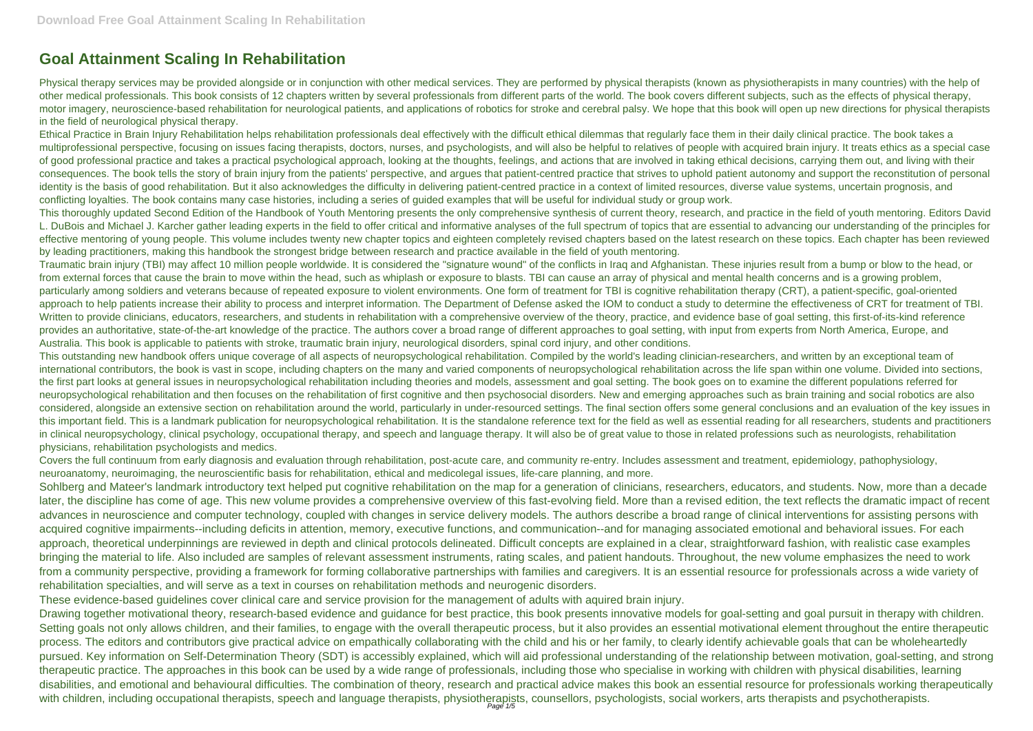## **Goal Attainment Scaling In Rehabilitation**

Physical therapy services may be provided alongside or in conjunction with other medical services. They are performed by physical therapists (known as physiotherapists in many countries) with the help of other medical professionals. This book consists of 12 chapters written by several professionals from different parts of the world. The book covers different subjects, such as the effects of physical therapy, motor imagery, neuroscience-based rehabilitation for neurological patients, and applications of robotics for stroke and cerebral palsy. We hope that this book will open up new directions for physical therapists in the field of neurological physical therapy.

Ethical Practice in Brain Injury Rehabilitation helps rehabilitation professionals deal effectively with the difficult ethical dilemmas that regularly face them in their daily clinical practice. The book takes a multiprofessional perspective, focusing on issues facing therapists, doctors, nurses, and psychologists, and will also be helpful to relatives of people with acquired brain injury. It treats ethics as a special case of good professional practice and takes a practical psychological approach, looking at the thoughts, feelings, and actions that are involved in taking ethical decisions, carrying them out, and living with their consequences. The book tells the story of brain injury from the patients' perspective, and argues that patient-centred practice that strives to uphold patient autonomy and support the reconstitution of personal identity is the basis of good rehabilitation. But it also acknowledges the difficulty in delivering patient-centred practice in a context of limited resources, diverse value systems, uncertain prognosis, and conflicting loyalties. The book contains many case histories, including a series of guided examples that will be useful for individual study or group work.

This thoroughly updated Second Edition of the Handbook of Youth Mentoring presents the only comprehensive synthesis of current theory, research, and practice in the field of youth mentoring. Editors David L. DuBois and Michael J. Karcher gather leading experts in the field to offer critical and informative analyses of the full spectrum of topics that are essential to advancing our understanding of the principles for effective mentoring of young people. This volume includes twenty new chapter topics and eighteen completely revised chapters based on the latest research on these topics. Each chapter has been reviewed by leading practitioners, making this handbook the strongest bridge between research and practice available in the field of youth mentoring.

Covers the full continuum from early diagnosis and evaluation through rehabilitation, post-acute care, and community re-entry. Includes assessment and treatment, epidemiology, pathophysiology, neuroanatomy, neuroimaging, the neuroscientific basis for rehabilitation, ethical and medicolegal issues, life-care planning, and more.

Traumatic brain injury (TBI) may affect 10 million people worldwide. It is considered the "signature wound" of the conflicts in Iraq and Afghanistan. These injuries result from a bump or blow to the head, or from external forces that cause the brain to move within the head, such as whiplash or exposure to blasts. TBI can cause an array of physical and mental health concerns and is a growing problem, particularly among soldiers and veterans because of repeated exposure to violent environments. One form of treatment for TBI is cognitive rehabilitation therapy (CRT), a patient-specific, goal-oriented approach to help patients increase their ability to process and interpret information. The Department of Defense asked the IOM to conduct a study to determine the effectiveness of CRT for treatment of TBI. Written to provide clinicians, educators, researchers, and students in rehabilitation with a comprehensive overview of the theory, practice, and evidence base of goal setting, this first-of-its-kind reference provides an authoritative, state-of-the-art knowledge of the practice. The authors cover a broad range of different approaches to goal setting, with input from experts from North America, Europe, and Australia. This book is applicable to patients with stroke, traumatic brain injury, neurological disorders, spinal cord injury, and other conditions.

Sohlberg and Mateer's landmark introductory text helped put cognitive rehabilitation on the map for a generation of clinicians, researchers, educators, and students. Now, more than a decade later, the discipline has come of age. This new volume provides a comprehensive overview of this fast-evolving field. More than a revised edition, the text reflects the dramatic impact of recent advances in neuroscience and computer technology, coupled with changes in service delivery models. The authors describe a broad range of clinical interventions for assisting persons with acquired cognitive impairments--including deficits in attention, memory, executive functions, and communication--and for managing associated emotional and behavioral issues. For each approach, theoretical underpinnings are reviewed in depth and clinical protocols delineated. Difficult concepts are explained in a clear, straightforward fashion, with realistic case examples bringing the material to life. Also included are samples of relevant assessment instruments, rating scales, and patient handouts. Throughout, the new volume emphasizes the need to work from a community perspective, providing a framework for forming collaborative partnerships with families and caregivers. It is an essential resource for professionals across a wide variety of rehabilitation specialties, and will serve as a text in courses on rehabilitation methods and neurogenic disorders.

This outstanding new handbook offers unique coverage of all aspects of neuropsychological rehabilitation. Compiled by the world's leading clinician-researchers, and written by an exceptional team of international contributors, the book is vast in scope, including chapters on the many and varied components of neuropsychological rehabilitation across the life span within one volume. Divided into sections, the first part looks at general issues in neuropsychological rehabilitation including theories and models, assessment and goal setting. The book goes on to examine the different populations referred for neuropsychological rehabilitation and then focuses on the rehabilitation of first cognitive and then psychosocial disorders. New and emerging approaches such as brain training and social robotics are also considered, alongside an extensive section on rehabilitation around the world, particularly in under-resourced settings. The final section offers some general conclusions and an evaluation of the key issues in this important field. This is a landmark publication for neuropsychological rehabilitation. It is the standalone reference text for the field as well as essential reading for all researchers, students and practitioners in clinical neuropsychology, clinical psychology, occupational therapy, and speech and language therapy. It will also be of great value to those in related professions such as neurologists, rehabilitation physicians, rehabilitation psychologists and medics.

These evidence-based guidelines cover clinical care and service provision for the management of adults with aquired brain injury.

Drawing together motivational theory, research-based evidence and guidance for best practice, this book presents innovative models for goal-setting and goal pursuit in therapy with children. Setting goals not only allows children, and their families, to engage with the overall therapeutic process, but it also provides an essential motivational element throughout the entire therapeutic process. The editors and contributors give practical advice on empathically collaborating with the child and his or her family, to clearly identify achievable goals that can be wholeheartedly pursued. Key information on Self-Determination Theory (SDT) is accessibly explained, which will aid professional understanding of the relationship between motivation, goal-setting, and strong therapeutic practice. The approaches in this book can be used by a wide range of professionals, including those who specialise in working with children with physical disabilities, learning disabilities, and emotional and behavioural difficulties. The combination of theory, research and practical advice makes this book an essential resource for professionals working therapeutically with children, including occupational therapists, speech and language therapists, physiotherapists, counsellors, psychologists, social workers, arts therapists and psychotherapists.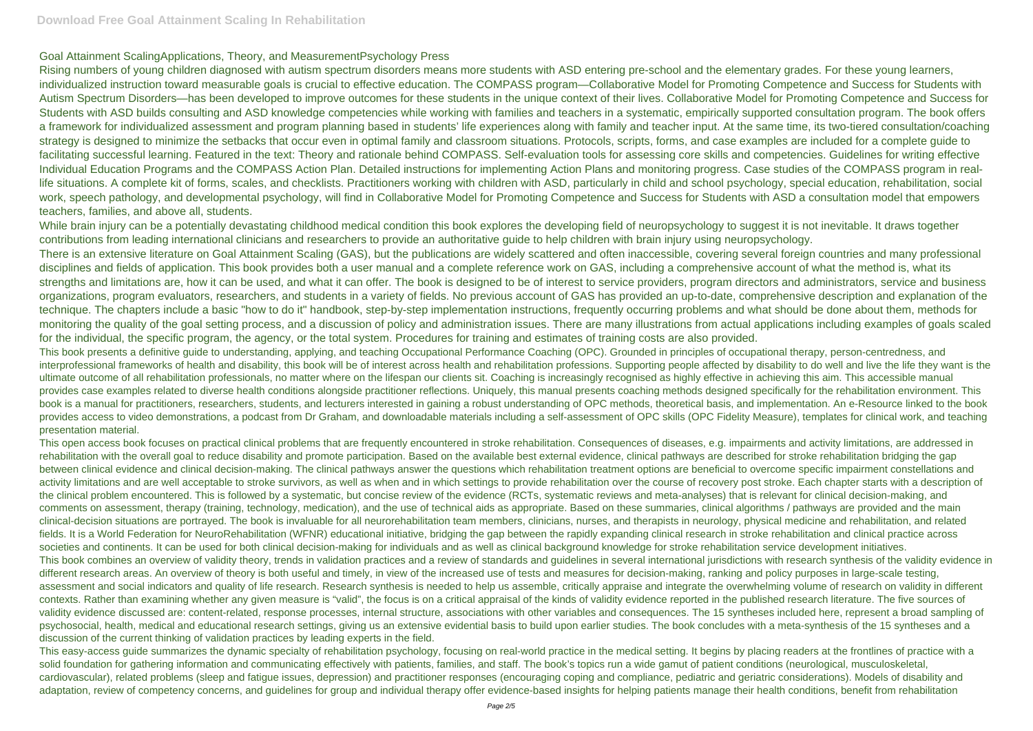## Goal Attainment ScalingApplications, Theory, and MeasurementPsychology Press

Rising numbers of young children diagnosed with autism spectrum disorders means more students with ASD entering pre-school and the elementary grades. For these young learners, individualized instruction toward measurable goals is crucial to effective education. The COMPASS program—Collaborative Model for Promoting Competence and Success for Students with Autism Spectrum Disorders—has been developed to improve outcomes for these students in the unique context of their lives. Collaborative Model for Promoting Competence and Success for Students with ASD builds consulting and ASD knowledge competencies while working with families and teachers in a systematic, empirically supported consultation program. The book offers a framework for individualized assessment and program planning based in students' life experiences along with family and teacher input. At the same time, its two-tiered consultation/coaching strategy is designed to minimize the setbacks that occur even in optimal family and classroom situations. Protocols, scripts, forms, and case examples are included for a complete guide to facilitating successful learning. Featured in the text: Theory and rationale behind COMPASS. Self-evaluation tools for assessing core skills and competencies. Guidelines for writing effective Individual Education Programs and the COMPASS Action Plan. Detailed instructions for implementing Action Plans and monitoring progress. Case studies of the COMPASS program in reallife situations. A complete kit of forms, scales, and checklists. Practitioners working with children with ASD, particularly in child and school psychology, special education, rehabilitation, social work, speech pathology, and developmental psychology, will find in Collaborative Model for Promoting Competence and Success for Students with ASD a consultation model that empowers teachers, families, and above all, students.

While brain injury can be a potentially devastating childhood medical condition this book explores the developing field of neuropsychology to suggest it is not inevitable. It draws together contributions from leading international clinicians and researchers to provide an authoritative guide to help children with brain injury using neuropsychology. There is an extensive literature on Goal Attainment Scaling (GAS), but the publications are widely scattered and often inaccessible, covering several foreign countries and many professional disciplines and fields of application. This book provides both a user manual and a complete reference work on GAS, including a comprehensive account of what the method is, what its strengths and limitations are, how it can be used, and what it can offer. The book is designed to be of interest to service providers, program directors and administrators, service and business organizations, program evaluators, researchers, and students in a variety of fields. No previous account of GAS has provided an up-to-date, comprehensive description and explanation of the technique. The chapters include a basic "how to do it" handbook, step-by-step implementation instructions, frequently occurring problems and what should be done about them, methods for monitoring the quality of the goal setting process, and a discussion of policy and administration issues. There are many illustrations from actual applications including examples of goals scaled for the individual, the specific program, the agency, or the total system. Procedures for training and estimates of training costs are also provided.

This book presents a definitive guide to understanding, applying, and teaching Occupational Performance Coaching (OPC). Grounded in principles of occupational therapy, person-centredness, and interprofessional frameworks of health and disability, this book will be of interest across health and rehabilitation professions. Supporting people affected by disability to do well and live the life they want is the ultimate outcome of all rehabilitation professionals, no matter where on the lifespan our clients sit. Coaching is increasingly recognised as highly effective in achieving this aim. This accessible manual provides case examples related to diverse health conditions alongside practitioner reflections. Uniquely, this manual presents coaching methods designed specifically for the rehabilitation environment. This book is a manual for practitioners, researchers, students, and lecturers interested in gaining a robust understanding of OPC methods, theoretical basis, and implementation. An e-Resource linked to the book provides access to video demonstrations, a podcast from Dr Graham, and downloadable materials including a self-assessment of OPC skills (OPC Fidelity Measure), templates for clinical work, and teaching presentation material.

This open access book focuses on practical clinical problems that are frequently encountered in stroke rehabilitation. Consequences of diseases, e.g. impairments and activity limitations, are addressed in rehabilitation with the overall goal to reduce disability and promote participation. Based on the available best external evidence, clinical pathways are described for stroke rehabilitation bridging the gap between clinical evidence and clinical decision-making. The clinical pathways answer the questions which rehabilitation treatment options are beneficial to overcome specific impairment constellations and activity limitations and are well acceptable to stroke survivors, as well as when and in which settings to provide rehabilitation over the course of recovery post stroke. Each chapter starts with a description of the clinical problem encountered. This is followed by a systematic, but concise review of the evidence (RCTs, systematic reviews and meta-analyses) that is relevant for clinical decision-making, and comments on assessment, therapy (training, technology, medication), and the use of technical aids as appropriate. Based on these summaries, clinical algorithms / pathways are provided and the main clinical-decision situations are portrayed. The book is invaluable for all neurorehabilitation team members, clinicians, nurses, and therapists in neurology, physical medicine and rehabilitation, and related fields. It is a World Federation for NeuroRehabilitation (WFNR) educational initiative, bridging the gap between the rapidly expanding clinical research in stroke rehabilitation and clinical practice across societies and continents. It can be used for both clinical decision-making for individuals and as well as clinical background knowledge for stroke rehabilitation service development initiatives. This book combines an overview of validity theory, trends in validation practices and a review of standards and guidelines in several international jurisdictions with research synthesis of the validity evidence in different research areas. An overview of theory is both useful and timely, in view of the increased use of tests and measures for decision-making, ranking and policy purposes in large-scale testing, assessment and social indicators and quality of life research. Research synthesis is needed to help us assemble, critically appraise and integrate the overwhelming volume of research on validity in different contexts. Rather than examining whether any given measure is "valid", the focus is on a critical appraisal of the kinds of validity evidence reported in the published research literature. The five sources of validity evidence discussed are: content-related, response processes, internal structure, associations with other variables and consequences. The 15 syntheses included here, represent a broad sampling of psychosocial, health, medical and educational research settings, giving us an extensive evidential basis to build upon earlier studies. The book concludes with a meta-synthesis of the 15 syntheses and a discussion of the current thinking of validation practices by leading experts in the field.

This easy-access guide summarizes the dynamic specialty of rehabilitation psychology, focusing on real-world practice in the medical setting. It begins by placing readers at the frontlines of practice with a solid foundation for gathering information and communicating effectively with patients, families, and staff. The book's topics run a wide gamut of patient conditions (neurological, musculoskeletal, cardiovascular), related problems (sleep and fatigue issues, depression) and practitioner responses (encouraging coping and compliance, pediatric and geriatric considerations). Models of disability and adaptation, review of competency concerns, and guidelines for group and individual therapy offer evidence-based insights for helping patients manage their health conditions, benefit from rehabilitation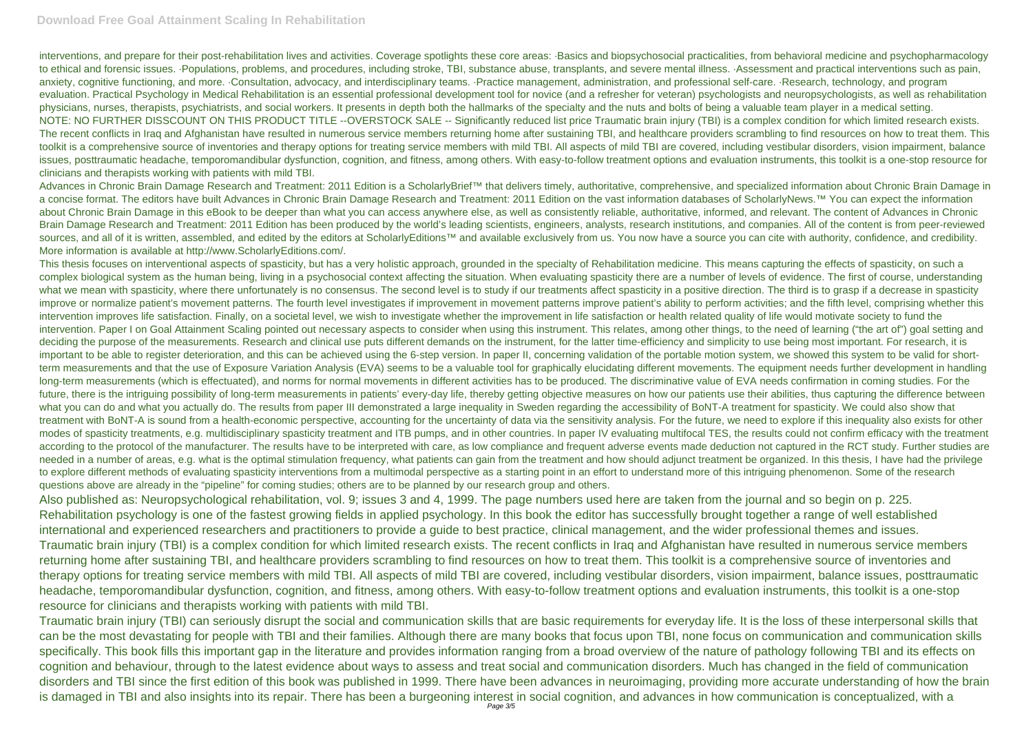interventions, and prepare for their post-rehabilitation lives and activities. Coverage spotlights these core areas: ·Basics and biopsychosocial practicalities, from behavioral medicine and psychopharmacology to ethical and forensic issues. ·Populations, problems, and procedures, including stroke, TBI, substance abuse, transplants, and severe mental illness. ·Assessment and practical interventions such as pain, anxiety, cognitive functioning, and more. ·Consultation, advocacy, and interdisciplinary teams. ·Practice management, administration, and professional self-care. ·Research, technology, and program evaluation. Practical Psychology in Medical Rehabilitation is an essential professional development tool for novice (and a refresher for veteran) psychologists and neuropsychologists, as well as rehabilitation physicians, nurses, therapists, psychiatrists, and social workers. It presents in depth both the hallmarks of the specialty and the nuts and bolts of being a valuable team player in a medical setting. NOTE: NO FURTHER DISSCOUNT ON THIS PRODUCT TITLE --OVERSTOCK SALE -- Significantly reduced list price Traumatic brain injury (TBI) is a complex condition for which limited research exists. The recent conflicts in Iraq and Afghanistan have resulted in numerous service members returning home after sustaining TBI, and healthcare providers scrambling to find resources on how to treat them. This toolkit is a comprehensive source of inventories and therapy options for treating service members with mild TBI. All aspects of mild TBI are covered, including vestibular disorders, vision impairment, balance issues, posttraumatic headache, temporomandibular dysfunction, cognition, and fitness, among others. With easy-to-follow treatment options and evaluation instruments, this toolkit is a one-stop resource for clinicians and therapists working with patients with mild TBI.

Advances in Chronic Brain Damage Research and Treatment: 2011 Edition is a ScholarlyBrief™ that delivers timely, authoritative, comprehensive, and specialized information about Chronic Brain Damage in a concise format. The editors have built Advances in Chronic Brain Damage Research and Treatment: 2011 Edition on the vast information databases of ScholarlyNews.™ You can expect the information about Chronic Brain Damage in this eBook to be deeper than what you can access anywhere else, as well as consistently reliable, authoritative, informed, and relevant. The content of Advances in Chronic Brain Damage Research and Treatment: 2011 Edition has been produced by the world's leading scientists, engineers, analysts, research institutions, and companies. All of the content is from peer-reviewed sources, and all of it is written, assembled, and edited by the editors at ScholarlyEditions™ and available exclusively from us. You now have a source you can cite with authority, confidence, and credibility. More information is available at http://www.ScholarlyEditions.com/.

This thesis focuses on interventional aspects of spasticity, but has a very holistic approach, grounded in the specialty of Rehabilitation medicine. This means capturing the effects of spasticity, on such a complex biological system as the human being, living in a psychosocial context affecting the situation. When evaluating spasticity there are a number of levels of evidence. The first of course, understanding what we mean with spasticity, where there unfortunately is no consensus. The second level is to study if our treatments affect spasticity in a positive direction. The third is to grasp if a decrease in spasticity improve or normalize patient's movement patterns. The fourth level investigates if improvement in movement patterns improve patient's ability to perform activities; and the fifth level, comprising whether this intervention improves life satisfaction. Finally, on a societal level, we wish to investigate whether the improvement in life satisfaction or health related quality of life would motivate society to fund the intervention. Paper I on Goal Attainment Scaling pointed out necessary aspects to consider when using this instrument. This relates, among other things, to the need of learning ("the art of") goal setting and deciding the purpose of the measurements. Research and clinical use puts different demands on the instrument, for the latter time-efficiency and simplicity to use being most important. For research, it is important to be able to register deterioration, and this can be achieved using the 6-step version. In paper II, concerning validation of the portable motion system, we showed this system to be valid for shortterm measurements and that the use of Exposure Variation Analysis (EVA) seems to be a valuable tool for graphically elucidating different movements. The equipment needs further development in handling long-term measurements (which is effectuated), and norms for normal movements in different activities has to be produced. The discriminative value of EVA needs confirmation in coming studies. For the future, there is the intriguing possibility of long-term measurements in patients' every-day life, thereby getting objective measures on how our patients use their abilities, thus capturing the difference between what you can do and what you actually do. The results from paper III demonstrated a large inequality in Sweden regarding the accessibility of BoNT-A treatment for spasticity. We could also show that treatment with BoNT-A is sound from a health-economic perspective, accounting for the uncertainty of data via the sensitivity analysis. For the future, we need to explore if this inequality also exists for other modes of spasticity treatments, e.g. multidisciplinary spasticity treatment and ITB pumps, and in other countries. In paper IV evaluating multifocal TES, the results could not confirm efficacy with the treatment according to the protocol of the manufacturer. The results have to be interpreted with care, as low compliance and frequent adverse events made deduction not captured in the RCT study. Further studies are needed in a number of areas, e.g. what is the optimal stimulation frequency, what patients can gain from the treatment and how should adjunct treatment be organized. In this thesis, I have had the privilege to explore different methods of evaluating spasticity interventions from a multimodal perspective as a starting point in an effort to understand more of this intriguing phenomenon. Some of the research questions above are already in the "pipeline" for coming studies; others are to be planned by our research group and others.

Also published as: Neuropsychological rehabilitation, vol. 9; issues 3 and 4, 1999. The page numbers used here are taken from the journal and so begin on p. 225. Rehabilitation psychology is one of the fastest growing fields in applied psychology. In this book the editor has successfully brought together a range of well established international and experienced researchers and practitioners to provide a guide to best practice, clinical management, and the wider professional themes and issues. Traumatic brain injury (TBI) is a complex condition for which limited research exists. The recent conflicts in Iraq and Afghanistan have resulted in numerous service members returning home after sustaining TBI, and healthcare providers scrambling to find resources on how to treat them. This toolkit is a comprehensive source of inventories and therapy options for treating service members with mild TBI. All aspects of mild TBI are covered, including vestibular disorders, vision impairment, balance issues, posttraumatic headache, temporomandibular dysfunction, cognition, and fitness, among others. With easy-to-follow treatment options and evaluation instruments, this toolkit is a one-stop resource for clinicians and therapists working with patients with mild TBI.

Traumatic brain injury (TBI) can seriously disrupt the social and communication skills that are basic requirements for everyday life. It is the loss of these interpersonal skills that can be the most devastating for people with TBI and their families. Although there are many books that focus upon TBI, none focus on communication and communication skills specifically. This book fills this important gap in the literature and provides information ranging from a broad overview of the nature of pathology following TBI and its effects on cognition and behaviour, through to the latest evidence about ways to assess and treat social and communication disorders. Much has changed in the field of communication disorders and TBI since the first edition of this book was published in 1999. There have been advances in neuroimaging, providing more accurate understanding of how the brain is damaged in TBI and also insights into its repair. There has been a burgeoning interest in social cognition, and advances in how communication is conceptualized, with a Page 3/5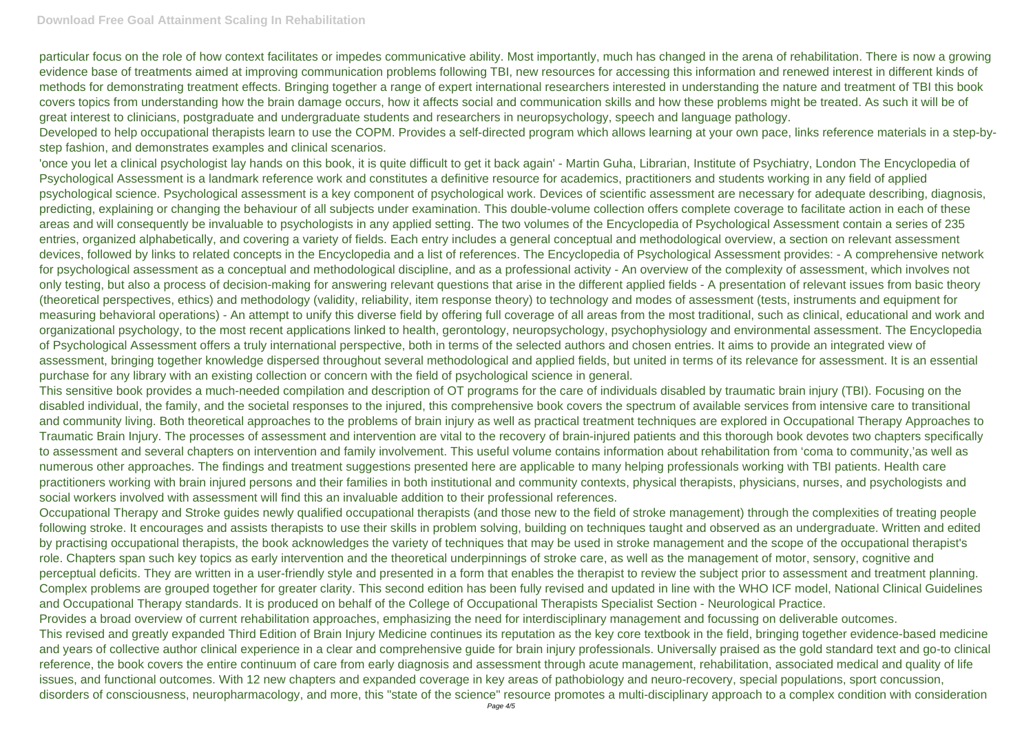particular focus on the role of how context facilitates or impedes communicative ability. Most importantly, much has changed in the arena of rehabilitation. There is now a growing evidence base of treatments aimed at improving communication problems following TBI, new resources for accessing this information and renewed interest in different kinds of methods for demonstrating treatment effects. Bringing together a range of expert international researchers interested in understanding the nature and treatment of TBI this book covers topics from understanding how the brain damage occurs, how it affects social and communication skills and how these problems might be treated. As such it will be of great interest to clinicians, postgraduate and undergraduate students and researchers in neuropsychology, speech and language pathology. Developed to help occupational therapists learn to use the COPM. Provides a self-directed program which allows learning at your own pace, links reference materials in a step-bystep fashion, and demonstrates examples and clinical scenarios.

'once you let a clinical psychologist lay hands on this book, it is quite difficult to get it back again' - Martin Guha, Librarian, Institute of Psychiatry, London The Encyclopedia of Psychological Assessment is a landmark reference work and constitutes a definitive resource for academics, practitioners and students working in any field of applied psychological science. Psychological assessment is a key component of psychological work. Devices of scientific assessment are necessary for adequate describing, diagnosis, predicting, explaining or changing the behaviour of all subjects under examination. This double-volume collection offers complete coverage to facilitate action in each of these areas and will consequently be invaluable to psychologists in any applied setting. The two volumes of the Encyclopedia of Psychological Assessment contain a series of 235 entries, organized alphabetically, and covering a variety of fields. Each entry includes a general conceptual and methodological overview, a section on relevant assessment devices, followed by links to related concepts in the Encyclopedia and a list of references. The Encyclopedia of Psychological Assessment provides: - A comprehensive network for psychological assessment as a conceptual and methodological discipline, and as a professional activity - An overview of the complexity of assessment, which involves not only testing, but also a process of decision-making for answering relevant questions that arise in the different applied fields - A presentation of relevant issues from basic theory (theoretical perspectives, ethics) and methodology (validity, reliability, item response theory) to technology and modes of assessment (tests, instruments and equipment for measuring behavioral operations) - An attempt to unify this diverse field by offering full coverage of all areas from the most traditional, such as clinical, educational and work and organizational psychology, to the most recent applications linked to health, gerontology, neuropsychology, psychophysiology and environmental assessment. The Encyclopedia of Psychological Assessment offers a truly international perspective, both in terms of the selected authors and chosen entries. It aims to provide an integrated view of assessment, bringing together knowledge dispersed throughout several methodological and applied fields, but united in terms of its relevance for assessment. It is an essential purchase for any library with an existing collection or concern with the field of psychological science in general.

This sensitive book provides a much-needed compilation and description of OT programs for the care of individuals disabled by traumatic brain injury (TBI). Focusing on the disabled individual, the family, and the societal responses to the injured, this comprehensive book covers the spectrum of available services from intensive care to transitional and community living. Both theoretical approaches to the problems of brain injury as well as practical treatment techniques are explored in Occupational Therapy Approaches to Traumatic Brain Injury. The processes of assessment and intervention are vital to the recovery of brain-injured patients and this thorough book devotes two chapters specifically to assessment and several chapters on intervention and family involvement. This useful volume contains information about rehabilitation from 'coma to community,'as well as numerous other approaches. The findings and treatment suggestions presented here are applicable to many helping professionals working with TBI patients. Health care practitioners working with brain injured persons and their families in both institutional and community contexts, physical therapists, physicians, nurses, and psychologists and social workers involved with assessment will find this an invaluable addition to their professional references.

Occupational Therapy and Stroke guides newly qualified occupational therapists (and those new to the field of stroke management) through the complexities of treating people following stroke. It encourages and assists therapists to use their skills in problem solving, building on techniques taught and observed as an undergraduate. Written and edited by practising occupational therapists, the book acknowledges the variety of techniques that may be used in stroke management and the scope of the occupational therapist's role. Chapters span such key topics as early intervention and the theoretical underpinnings of stroke care, as well as the management of motor, sensory, cognitive and perceptual deficits. They are written in a user-friendly style and presented in a form that enables the therapist to review the subject prior to assessment and treatment planning. Complex problems are grouped together for greater clarity. This second edition has been fully revised and updated in line with the WHO ICF model, National Clinical Guidelines and Occupational Therapy standards. It is produced on behalf of the College of Occupational Therapists Specialist Section - Neurological Practice. Provides a broad overview of current rehabilitation approaches, emphasizing the need for interdisciplinary management and focussing on deliverable outcomes. This revised and greatly expanded Third Edition of Brain Injury Medicine continues its reputation as the key core textbook in the field, bringing together evidence-based medicine and years of collective author clinical experience in a clear and comprehensive guide for brain injury professionals. Universally praised as the gold standard text and go-to clinical reference, the book covers the entire continuum of care from early diagnosis and assessment through acute management, rehabilitation, associated medical and quality of life issues, and functional outcomes. With 12 new chapters and expanded coverage in key areas of pathobiology and neuro-recovery, special populations, sport concussion, disorders of consciousness, neuropharmacology, and more, this "state of the science" resource promotes a multi-disciplinary approach to a complex condition with consideration